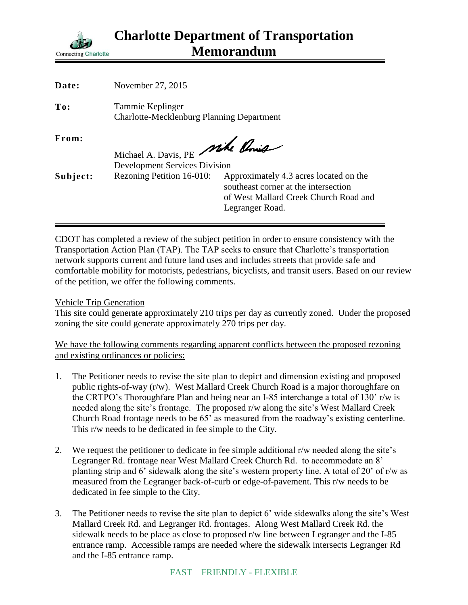

| Date:    | November 27, 2015                                                       |                                                                                                                                            |
|----------|-------------------------------------------------------------------------|--------------------------------------------------------------------------------------------------------------------------------------------|
| To:      | Tammie Keplinger<br><b>Charlotte-Mecklenburg Planning Department</b>    |                                                                                                                                            |
| From:    | Michael A. Davis, PE Mike Ponis<br><b>Development Services Division</b> |                                                                                                                                            |
| Subject: | Rezoning Petition 16-010:                                               | Approximately 4.3 acres located on the<br>southeast corner at the intersection<br>of West Mallard Creek Church Road and<br>Legranger Road. |

CDOT has completed a review of the subject petition in order to ensure consistency with the Transportation Action Plan (TAP). The TAP seeks to ensure that Charlotte's transportation network supports current and future land uses and includes streets that provide safe and comfortable mobility for motorists, pedestrians, bicyclists, and transit users. Based on our review of the petition, we offer the following comments.

Vehicle Trip Generation

This site could generate approximately 210 trips per day as currently zoned. Under the proposed zoning the site could generate approximately 270 trips per day.

We have the following comments regarding apparent conflicts between the proposed rezoning and existing ordinances or policies:

- 1. The Petitioner needs to revise the site plan to depict and dimension existing and proposed public rights-of-way (r/w). West Mallard Creek Church Road is a major thoroughfare on the CRTPO's Thoroughfare Plan and being near an I-85 interchange a total of 130' r/w is needed along the site's frontage. The proposed r/w along the site's West Mallard Creek Church Road frontage needs to be 65' as measured from the roadway's existing centerline. This r/w needs to be dedicated in fee simple to the City.
- 2. We request the petitioner to dedicate in fee simple additional r/w needed along the site's Legranger Rd. frontage near West Mallard Creek Church Rd. to accommodate an 8' planting strip and 6' sidewalk along the site's western property line. A total of 20' of r/w as measured from the Legranger back-of-curb or edge-of-pavement. This r/w needs to be dedicated in fee simple to the City.
- 3. The Petitioner needs to revise the site plan to depict 6' wide sidewalks along the site's West Mallard Creek Rd. and Legranger Rd. frontages. Along West Mallard Creek Rd. the sidewalk needs to be place as close to proposed r/w line between Legranger and the I-85 entrance ramp. Accessible ramps are needed where the sidewalk intersects Legranger Rd and the I-85 entrance ramp.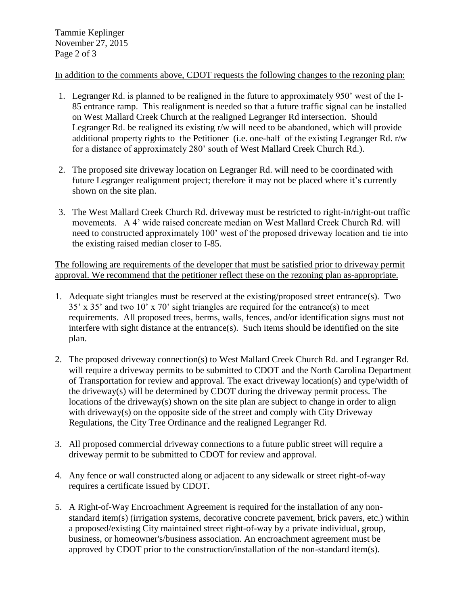## In addition to the comments above, CDOT requests the following changes to the rezoning plan:

- 1. Legranger Rd. is planned to be realigned in the future to approximately 950' west of the I-85 entrance ramp. This realignment is needed so that a future traffic signal can be installed on West Mallard Creek Church at the realigned Legranger Rd intersection. Should Legranger Rd. be realigned its existing r/w will need to be abandoned, which will provide additional property rights to the Petitioner (i.e. one-half of the existing Legranger Rd. r/w for a distance of approximately 280' south of West Mallard Creek Church Rd.).
- 2. The proposed site driveway location on Legranger Rd. will need to be coordinated with future Legranger realignment project; therefore it may not be placed where it's currently shown on the site plan.
- 3. The West Mallard Creek Church Rd. driveway must be restricted to right-in/right-out traffic movements. A 4' wide raised concreate median on West Mallard Creek Church Rd. will need to constructed approximately 100' west of the proposed driveway location and tie into the existing raised median closer to I-85.

The following are requirements of the developer that must be satisfied prior to driveway permit approval. We recommend that the petitioner reflect these on the rezoning plan as-appropriate.

- 1. Adequate sight triangles must be reserved at the existing/proposed street entrance(s). Two 35' x 35' and two 10' x 70' sight triangles are required for the entrance(s) to meet requirements. All proposed trees, berms, walls, fences, and/or identification signs must not interfere with sight distance at the entrance(s). Such items should be identified on the site plan.
- 2. The proposed driveway connection(s) to West Mallard Creek Church Rd. and Legranger Rd. will require a driveway permits to be submitted to CDOT and the North Carolina Department of Transportation for review and approval. The exact driveway location(s) and type/width of the driveway(s) will be determined by CDOT during the driveway permit process. The locations of the driveway(s) shown on the site plan are subject to change in order to align with driveway(s) on the opposite side of the street and comply with City Driveway Regulations, the City Tree Ordinance and the realigned Legranger Rd.
- 3. All proposed commercial driveway connections to a future public street will require a driveway permit to be submitted to CDOT for review and approval.
- 4. Any fence or wall constructed along or adjacent to any sidewalk or street right-of-way requires a certificate issued by CDOT.
- 5. A Right-of-Way Encroachment Agreement is required for the installation of any nonstandard item(s) (irrigation systems, decorative concrete pavement, brick pavers, etc.) within a proposed/existing City maintained street right-of-way by a private individual, group, business, or homeowner's/business association. An encroachment agreement must be approved by CDOT prior to the construction/installation of the non-standard item(s).